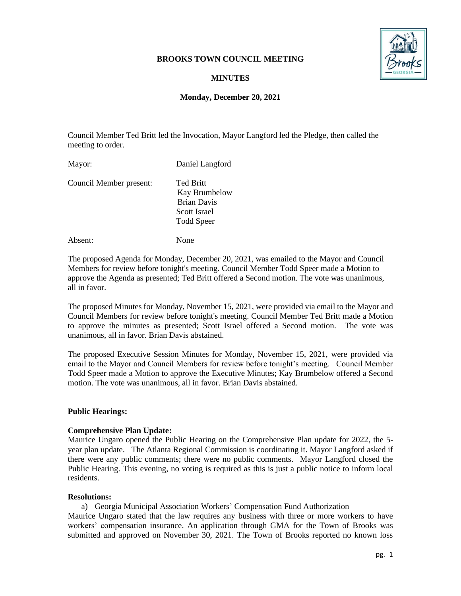### **BROOKS TOWN COUNCIL MEETING**



# **MINUTES**

### **Monday, December 20, 2021**

Council Member Ted Britt led the Invocation, Mayor Langford led the Pledge, then called the meeting to order.

Mayor: Daniel Langford Council Member present: Ted Britt Kay Brumbelow Brian Davis Scott Israel Todd Speer

Absent: None

The proposed Agenda for Monday, December 20, 2021, was emailed to the Mayor and Council Members for review before tonight's meeting. Council Member Todd Speer made a Motion to approve the Agenda as presented; Ted Britt offered a Second motion. The vote was unanimous, all in favor.

The proposed Minutes for Monday, November 15, 2021, were provided via email to the Mayor and Council Members for review before tonight's meeting. Council Member Ted Britt made a Motion to approve the minutes as presented; Scott Israel offered a Second motion. The vote was unanimous, all in favor. Brian Davis abstained.

The proposed Executive Session Minutes for Monday, November 15, 2021, were provided via email to the Mayor and Council Members for review before tonight's meeting. Council Member Todd Speer made a Motion to approve the Executive Minutes; Kay Brumbelow offered a Second motion. The vote was unanimous, all in favor. Brian Davis abstained.

## **Public Hearings:**

#### **Comprehensive Plan Update:**

Maurice Ungaro opened the Public Hearing on the Comprehensive Plan update for 2022, the 5 year plan update. The Atlanta Regional Commission is coordinating it. Mayor Langford asked if there were any public comments; there were no public comments. Mayor Langford closed the Public Hearing. This evening, no voting is required as this is just a public notice to inform local residents.

#### **Resolutions:**

a) Georgia Municipal Association Workers' Compensation Fund Authorization

Maurice Ungaro stated that the law requires any business with three or more workers to have workers' compensation insurance. An application through GMA for the Town of Brooks was submitted and approved on November 30, 2021. The Town of Brooks reported no known loss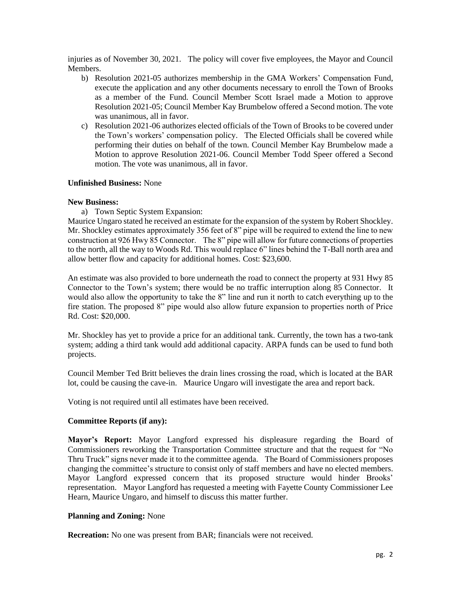injuries as of November 30, 2021. The policy will cover five employees, the Mayor and Council **Members** 

- b) Resolution 2021-05 authorizes membership in the GMA Workers' Compensation Fund, execute the application and any other documents necessary to enroll the Town of Brooks as a member of the Fund. Council Member Scott Israel made a Motion to approve Resolution 2021-05; Council Member Kay Brumbelow offered a Second motion. The vote was unanimous, all in favor.
- c) Resolution 2021-06 authorizes elected officials of the Town of Brooks to be covered under the Town's workers' compensation policy. The Elected Officials shall be covered while performing their duties on behalf of the town. Council Member Kay Brumbelow made a Motion to approve Resolution 2021-06. Council Member Todd Speer offered a Second motion. The vote was unanimous, all in favor.

### **Unfinished Business:** None

### **New Business:**

a) Town Septic System Expansion:

Maurice Ungaro stated he received an estimate for the expansion of the system by Robert Shockley. Mr. Shockley estimates approximately 356 feet of 8" pipe will be required to extend the line to new construction at 926 Hwy 85 Connector. The 8" pipe will allow for future connections of properties to the north, all the way to Woods Rd. This would replace 6" lines behind the T-Ball north area and allow better flow and capacity for additional homes. Cost: \$23,600.

An estimate was also provided to bore underneath the road to connect the property at 931 Hwy 85 Connector to the Town's system; there would be no traffic interruption along 85 Connector. It would also allow the opportunity to take the 8" line and run it north to catch everything up to the fire station. The proposed 8" pipe would also allow future expansion to properties north of Price Rd. Cost: \$20,000.

Mr. Shockley has yet to provide a price for an additional tank. Currently, the town has a two-tank system; adding a third tank would add additional capacity. ARPA funds can be used to fund both projects.

Council Member Ted Britt believes the drain lines crossing the road, which is located at the BAR lot, could be causing the cave-in. Maurice Ungaro will investigate the area and report back.

Voting is not required until all estimates have been received.

## **Committee Reports (if any):**

**Mayor's Report:** Mayor Langford expressed his displeasure regarding the Board of Commissioners reworking the Transportation Committee structure and that the request for "No Thru Truck" signs never made it to the committee agenda. The Board of Commissioners proposes changing the committee's structure to consist only of staff members and have no elected members. Mayor Langford expressed concern that its proposed structure would hinder Brooks' representation. Mayor Langford has requested a meeting with Fayette County Commissioner Lee Hearn, Maurice Ungaro, and himself to discuss this matter further.

## **Planning and Zoning:** None

**Recreation:** No one was present from BAR; financials were not received.